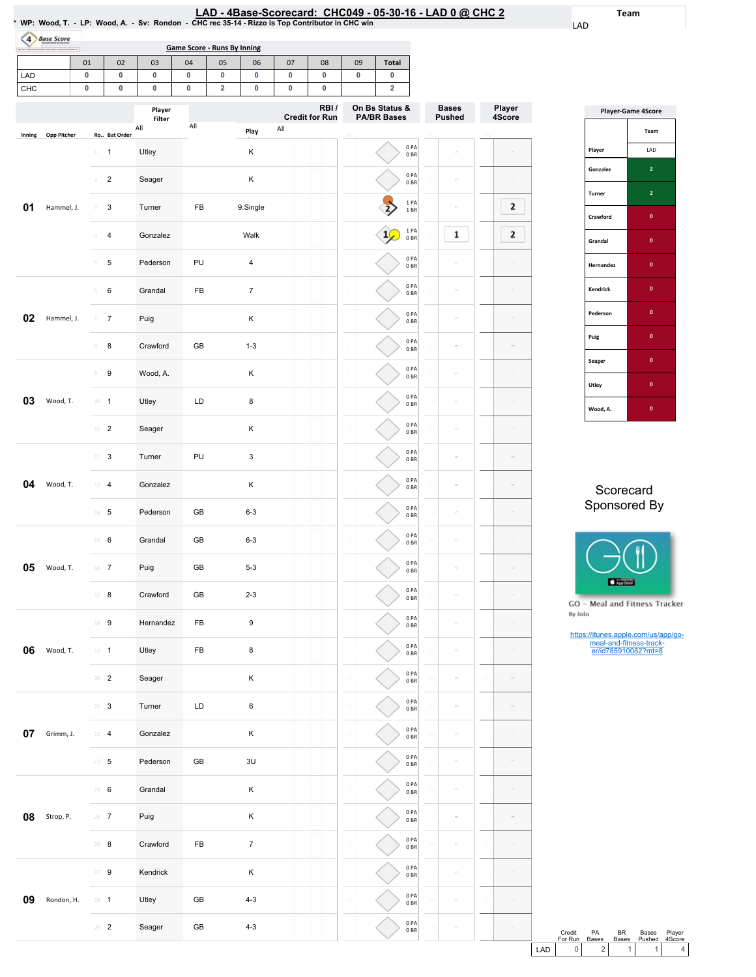Team

LAD

Player 4Score

 $\mathbf{2}$ 

 $\mathbf{2}$ 

 $\overline{\phantom{a}}$ 

 $\sim$ 

 $\sim$ 

 $\sim$ 

 $\overline{\phantom{a}}$ 

 $\sim$ 

 $\frac{1}{\alpha}$ 

 $\sim$ 

29

| <b>Base Score</b><br>$\overline{4}$ |             |                |                |                         | <b>Game Score - Runs By Inning</b> |    |                  |     |                               |                |                                      |                         |    |                               |                          |                      |
|-------------------------------------|-------------|----------------|----------------|-------------------------|------------------------------------|----|------------------|-----|-------------------------------|----------------|--------------------------------------|-------------------------|----|-------------------------------|--------------------------|----------------------|
|                                     | 01          |                | 02             | 03                      | 04                                 | 05 | 06               | 07  | 08                            | 09             | Total                                |                         |    |                               |                          |                      |
| LAD                                 | 0           |                | 0              | 0                       | 0                                  | 0  | 0                | 0   | 0                             | 0              | 0                                    |                         |    |                               |                          |                      |
| СНС                                 | 0           |                | 0              | 0                       | 0                                  | 2  | 0                | 0   | 0                             |                | $\overline{\mathbf{2}}$              |                         |    |                               |                          |                      |
|                                     |             |                |                | Player<br><b>Filter</b> | All                                |    |                  |     | RBI/<br><b>Credit for Run</b> |                | On Bs Status &<br><b>PA/BR Bases</b> |                         |    | <b>Bases</b><br><b>Pushed</b> |                          | Player<br>4Score     |
| Inning                              | Opp Pitcher |                | Ro Bat Order   | All                     |                                    |    | Play             | All |                               |                |                                      |                         |    |                               |                          |                      |
|                                     |             | $\perp$        | 1              | Utley                   |                                    |    | Κ                |     |                               |                |                                      | 0PA<br>0BR              |    | $\equiv$                      |                          |                      |
|                                     |             | $\overline{2}$ | $\overline{c}$ | Seager                  |                                    |    | Κ                |     |                               |                |                                      | 0PA<br>0B               |    | $\equiv$                      |                          |                      |
| 01                                  | Hammel, J.  | 3              | 3              | Turner                  | FB                                 |    | 9.Single         |     |                               |                |                                      | 1PA<br>1BR              |    | $\bar{a}$                     |                          | 2                    |
|                                     |             |                | 4              | Gonzalez                |                                    |    | Walk             |     |                               |                |                                      | 1 PA<br>0BR             |    | 1                             |                          | 2                    |
|                                     |             | 5              | 5              | Pederson                | PU                                 |    | 4                |     |                               |                |                                      | 0PA<br>0BR              |    | $\qquad \qquad \Box$          |                          |                      |
|                                     |             | 6              | 6              | Grandal                 | FB                                 |    | $\boldsymbol{7}$ |     |                               |                |                                      | 0PA<br>0BR              |    | $\equiv$                      |                          |                      |
| 02                                  | Hammel, J.  | $\overline{7}$ | 7              | Puig                    |                                    |    | Κ                |     |                               |                |                                      | 0PA<br>0BR              |    | $\equiv$                      |                          |                      |
|                                     |             | $\,$ 8         | 8              | Crawford                | GB                                 |    | $1 - 3$          |     |                               |                |                                      | 0PA<br>0BR              |    | $\equiv$                      |                          |                      |
|                                     |             | $\circledcirc$ | 9              | Wood, A.                |                                    |    | Κ                |     |                               |                |                                      | 0PA<br>0BR              |    | $\equiv$                      |                          |                      |
| 03                                  | Wood, T.    | $10 - 1$       |                | Utley                   | LD                                 |    | 8                |     |                               |                |                                      | 0PA<br>0BR              |    | $\equiv$                      | 10                       |                      |
|                                     |             | $11$ – $2$     |                | Seager                  |                                    |    | Κ                |     |                               |                |                                      | 0PA<br>0BR              |    | $\equiv$                      | 1:                       |                      |
|                                     |             |                | $12 \t3$       | Turner                  | PU                                 |    | 3                |     |                               |                |                                      | 0PA<br>0BR              |    | $\equiv$                      |                          |                      |
| 04                                  | Wood, T.    | $13 - 4$       |                | Gonzalez                |                                    |    | Κ                |     |                               |                |                                      | 0PA<br>0BR              |    | $\equiv$                      | 18                       |                      |
|                                     |             |                | $14$ 5         | Pederson                | GB                                 |    | $6 - 3$          |     |                               |                |                                      | 0PA<br>0BR              |    |                               | 14                       |                      |
|                                     |             | $15 \t 6$      |                | Grandal                 | GB                                 |    | $6 - 3$          |     |                               |                |                                      | 0 PA<br>0 <sub>BR</sub> |    | $\equiv$                      |                          |                      |
| 05                                  | Wood, T.    | $16$ 7         |                | Puig                    | GB                                 |    | $5 - 3$          |     |                               |                |                                      | 0 PA<br>0B              |    | $\equiv$                      |                          |                      |
|                                     |             | $17 - 8$       |                | Crawford                | GB                                 |    | $2 - 3$          |     |                               |                |                                      | 0PA<br>0B               |    | $\blacksquare$                |                          |                      |
|                                     |             | 18 9           |                | Hernandez               | FB                                 |    | 9                |     |                               |                |                                      | 0 PA<br>0B              |    | $\overline{\phantom{a}}$      | 18                       |                      |
| 06                                  | Wood, T.    | $19 - 1$       |                | Utley                   | FB                                 |    | 8                |     |                               |                |                                      | 0PA<br>0BR              |    | $\blacksquare$                | 19                       | $\equiv$             |
|                                     |             | $20 - 2$       |                | Seager                  |                                    |    | Κ                |     |                               |                |                                      | 0PA<br>0B               |    | $\equiv$                      | 20                       | $\equiv$             |
|                                     |             | $21 - 3$       |                | Turner                  | LD                                 |    | 6                |     |                               |                |                                      | 0PA<br>0B               |    | $\equiv$                      |                          |                      |
| 07                                  | Grimm, J.   | $22 - 4$       |                | Gonzalez                |                                    |    | Κ                |     |                               |                |                                      | 0PA<br>0B               |    | $\equiv$                      | $\overline{\mathcal{F}}$ |                      |
|                                     |             | $23 \t 5$      |                | Pederson                | GB                                 |    | 3U               |     |                               |                |                                      | 0PA<br>0B               |    | $\equiv$                      |                          | $\qquad \qquad \Box$ |
|                                     |             | 24 6           |                | Grandal                 |                                    |    | Κ                |     |                               | 2 <sup>i</sup> |                                      | 0 PA<br>0B              | 24 | $\equiv$                      | 24                       |                      |
| 08                                  | Strop, P.   | $25 \t 7$      |                | Puig                    |                                    |    | Κ                |     |                               |                |                                      | 0PA<br>0B               |    | $\equiv$                      | 25                       |                      |
|                                     |             | $26 - 8$       |                | Crawford                | FB                                 |    | $\overline{7}$   |     |                               |                |                                      | 0PA<br>0B               |    | $\equiv$                      | 26                       |                      |
|                                     |             | $27 - 9$       |                | Kendrick                |                                    |    | Κ                |     |                               |                |                                      | 0PA<br>0B               |    | $\equiv$                      |                          | $\equiv$             |
| 09                                  | Rondon, H.  | $28 - 1$       |                | Utley                   | GB                                 |    | $4 - 3$          |     |                               |                |                                      | 0 PA<br>0BR             |    | $\qquad \qquad \Box$          |                          |                      |

29 2 Seager GB 4-3

29

0PA 0BR

29

 $\overline{a}$ 

|                 | Player-Game 4Score |
|-----------------|--------------------|
|                 | Team               |
| Player          | LAD                |
| Gonzalez        | 2                  |
| Turner          | $\overline{2}$     |
| Crawford        | $\mathbf{0}$       |
| Grandal         | $\mathbf{0}$       |
| Hernandez       | $\mathbf{0}$       |
| <b>Kendrick</b> | O                  |
| Pederson        | $\mathbf{0}$       |
| Puig            | $\mathbf{0}$       |
| Seager          | $\mathbf{0}$       |
| Utley           | $\mathbf{0}$       |
| Wood, A.        | O                  |

## Scorecard Sponsored By



GO - Meal and Fitness Tracker By Iolo

https://itunes.apple.com/us/app/go-meal-and-fitness-track-er/id785910082?mt=8

|      | Credit  | PA           | <b>BR</b>    | Bases  | Plaver |
|------|---------|--------------|--------------|--------|--------|
|      | For Run | <b>Bases</b> | <b>Bases</b> | Pushed | 4Score |
| I AD |         |              |              |        |        |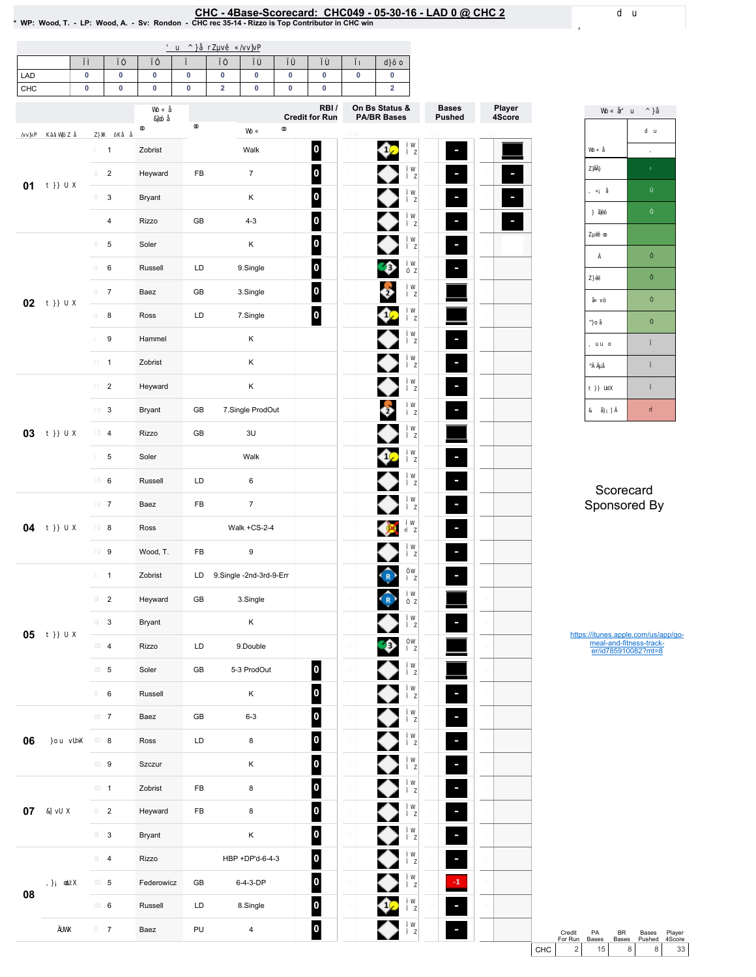## EHC - 4Base-Scorecard: CHC049 - 05-30-16 - LAD 0 @ CHC 2 ^ WP: Wood, T. - LP: Wood, A. - Sv: Rondon - CHCrec 35-14 - Rizzo is Top Contributor in CHC win

| LAD    | $\pmb{0}$               | $\pmb{0}$ | $\pmb{0}$  | $\pmb{0}$     | $\pmb{0}$   | $\pmb{0}$               | $\pmb{0}$ | $\pmb{0}$                     | 0 | $\pmb{0}$                            |                               |                  |
|--------|-------------------------|-----------|------------|---------------|-------------|-------------------------|-----------|-------------------------------|---|--------------------------------------|-------------------------------|------------------|
| CHC    | $\pmb{0}$               | $\pmb{0}$ | $\pmb{0}$  | $\pmb{0}$     | $\mathbf 2$ | $\pmb{0}$               | $\pmb{0}$ | $\pmb{0}$                     |   | $\overline{\mathbf{2}}$              |                               |                  |
|        |                         |           |            |               |             |                         |           | RBI/<br><b>Credit for Run</b> |   | On Bs Status &<br><b>PA/BR Bases</b> | <b>Bases</b><br><b>Pushed</b> | Player<br>4Score |
|        | $\mathbf{1}$            |           | Zobrist    |               |             | Walk                    |           | $\vert$ 0                     |   |                                      | Е                             |                  |
|        | $\overline{2}$          |           | Heyward    | FB            |             | $\overline{7}$          |           | $\vert$ 0 $\vert$             |   |                                      | Е                             |                  |
| 01     | 3                       |           | Bryant     |               |             | Κ                       |           | 0                             |   |                                      | F                             |                  |
|        | $\overline{\mathbf{4}}$ |           | Rizzo      | $\mathsf{GB}$ |             | $4 - 3$                 |           | $\vert$ 0                     |   |                                      | $\overline{\phantom{a}}$      |                  |
|        | 5                       |           | Soler      |               |             | Κ                       |           | $\vert$ 0                     |   |                                      | $\overline{\phantom{a}}$      |                  |
|        | 6                       |           | Russell    | LD            |             | 9.Single                |           | $\vert$ 0 $\vert$             |   | ₿                                    | F                             |                  |
|        | $\overline{7}$          |           | Baez       | $\mathsf{GB}$ |             | 3.Single                |           | $\vert$ 0 $\vert$             |   | $\overline{2}$                       |                               |                  |
| 02     | 8                       |           | Ross       | LD            |             | 7.Single                |           | $\vert$ 0 $\vert$             |   |                                      |                               |                  |
|        | 9                       |           | Hammel     |               |             | Κ                       |           |                               |   |                                      | $\blacksquare$                |                  |
|        | $\mathbf{1}$            |           | Zobrist    |               |             | Κ                       |           |                               |   |                                      | $\overline{\phantom{a}}$      |                  |
|        | $\overline{2}$          |           | Heyward    |               |             | Κ                       |           |                               |   |                                      | $\frac{1}{\sqrt{2}}$          |                  |
|        | 3                       |           | Bryant     | $\mathsf{GB}$ |             | 7.Single ProdOut        |           |                               |   | $\overline{2}$                       | $\overline{\phantom{a}}$      |                  |
| 03     | 4                       |           | Rizzo      | GB            |             | 3U                      |           |                               |   |                                      |                               |                  |
|        | 5                       |           | Soler      |               |             | Walk                    |           |                               |   |                                      | $\overline{\mathcal{L}}$      |                  |
|        | 6                       |           | Russell    | LD            |             | $\,6\,$                 |           |                               |   |                                      | $\overline{\phantom{a}}$      |                  |
|        | $\overline{7}$          |           | Baez       | FB            |             | $\boldsymbol{7}$        |           |                               |   |                                      | $\frac{1}{\sqrt{2}}$          |                  |
| 04     | 8                       |           | Ross       |               |             | Walk +CS-2-4            |           |                               |   | $\mathbf{p}$                         | F                             |                  |
|        | 9                       |           | Wood, T.   | FB            |             | $\boldsymbol{9}$        |           |                               |   |                                      | ×                             |                  |
|        | $\mathbf{1}$            |           | Zobrist    | LD            |             | 9.Single -2nd-3rd-9-Err |           |                               |   |                                      | F                             |                  |
|        | $\overline{2}$          |           | Heyward    | GB            |             | 3.Single                |           |                               |   | R                                    |                               |                  |
|        | 3                       |           | Bryant     |               |             | $\mathsf K$             |           |                               |   |                                      | F                             |                  |
| 05     | 4                       |           | Rizzo      | LD            |             | 9.Double                |           |                               |   | ₽                                    |                               |                  |
|        | $\overline{5}$          |           | Soler      | GB            |             | 5-3 ProdOut             |           | $\overline{\mathbf{0}}$       |   |                                      |                               |                  |
|        | 6                       |           | Russell    |               |             | Κ                       |           | $\vert$ 0 $\vert$             |   |                                      | ×                             |                  |
|        | $\boldsymbol{7}$        |           | Baez       | GB            |             | $6 - 3$                 |           | $\vert$ 0 $\vert$             |   |                                      | $\overline{\phantom{a}}$      |                  |
| 06     | 8                       |           | Ross       | LD            |             | 8                       |           | $\bullet$                     |   |                                      | $\overline{\phantom{a}}$      |                  |
|        | 9                       |           | Szczur     |               |             | Κ                       |           | $\vert$ 0 $\vert$             |   |                                      | $\overline{\phantom{a}}$      |                  |
|        | $\mathbf{1}$            |           | Zobrist    | FB            |             | $\bf 8$                 |           | $\vert$ 0 $\vert$             |   |                                      | $\overline{\phantom{a}}$      |                  |
| $07\,$ | $\overline{\mathbf{c}}$ |           | Heyward    | ${\sf FB}$    |             | 8                       |           | $\vert$ 0 $\vert$             |   |                                      | ×                             |                  |
|        | $\mathsf 3$             |           | Bryant     |               |             | $\mathsf K$             |           | $\overline{\phantom{a}}$      |   |                                      | $\overline{\phantom{a}}$      |                  |
|        | $\overline{\mathbf{4}}$ |           | Rizzo      |               |             | HBP +DP'd-6-4-3         |           | $\vert$ 0 $\vert$             |   |                                      | F                             |                  |
|        | 5                       |           | Federowicz | GB            |             | 6-4-3-DP                |           | $\overline{\phantom{a}}$      |   |                                      | $-1$                          |                  |
| 08     | 6                       |           | Russell    | LD            |             | 8.Single                |           | $\overline{\mathbf{0}}$       |   |                                      |                               |                  |
|        | $\overline{7}$          |           | Baez       | PU            |             | $\overline{\mathbf{4}}$ |           | $\vert$ 0 $\vert$             |   |                                      |                               |                  |



**Scorecard** Sponsored By

https://itunes.apple.com/us/app/go-meal-and-fitness-track-er/id785910082?mt=8

Credit PA BR Bases Player<br>
For Run Bases Bases Pushed 4Score<br>
CHC 2 15 8 8 33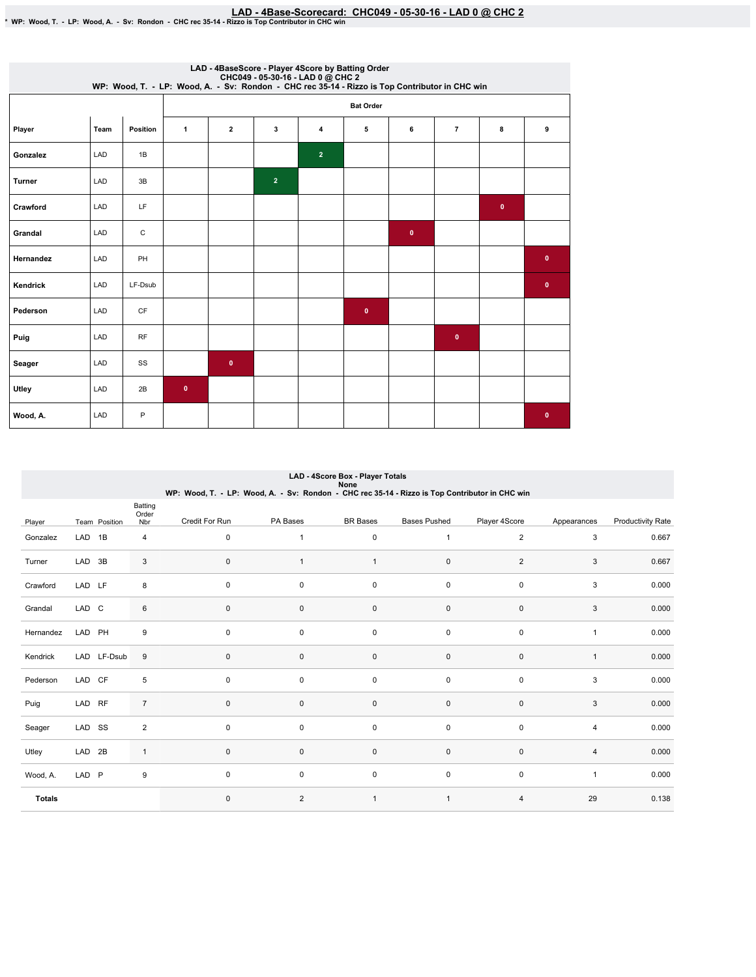|           |            |           |              |                  |                |                | LAD - 4BaseScore - Player 4Score by Batting Order<br>CHC049 - 05-30-16 - LAD 0 @ CHC 2<br>WP: Wood, T. - LP: Wood, A. - Sv: Rondon - CHC rec 35-14 - Rizzo is Top Contributor in CHC win |              |                |           |             |  |  |  |
|-----------|------------|-----------|--------------|------------------|----------------|----------------|------------------------------------------------------------------------------------------------------------------------------------------------------------------------------------------|--------------|----------------|-----------|-------------|--|--|--|
|           |            |           |              | <b>Bat Order</b> |                |                |                                                                                                                                                                                          |              |                |           |             |  |  |  |
| Player    | Team       | Position  | $\mathbf{1}$ | $\overline{2}$   | 3              | 4              | 5                                                                                                                                                                                        | 6            | $\overline{7}$ | 8         | 9           |  |  |  |
| Gonzalez  | LAD        | 1B        |              |                  |                | 2 <sup>1</sup> |                                                                                                                                                                                          |              |                |           |             |  |  |  |
| Turner    | LAD        | 3B        |              |                  | $\overline{2}$ |                |                                                                                                                                                                                          |              |                |           |             |  |  |  |
| Crawford  | LAD        | LF        |              |                  |                |                |                                                                                                                                                                                          |              |                | $\bullet$ |             |  |  |  |
| Grandal   | LAD        | С         |              |                  |                |                |                                                                                                                                                                                          | $\mathbf{0}$ |                |           |             |  |  |  |
| Hernandez | <b>LAD</b> | PH        |              |                  |                |                |                                                                                                                                                                                          |              |                |           | $\bullet$   |  |  |  |
| Kendrick  | LAD        | LF-Dsub   |              |                  |                |                |                                                                                                                                                                                          |              |                |           | $\bullet$   |  |  |  |
| Pederson  | LAD        | <b>CF</b> |              |                  |                |                | $\bullet$                                                                                                                                                                                |              |                |           |             |  |  |  |
| Puig      | LAD        | RF        |              |                  |                |                |                                                                                                                                                                                          |              | $\bullet$      |           |             |  |  |  |
| Seager    | LAD        | SS        |              | $\bullet$        |                |                |                                                                                                                                                                                          |              |                |           |             |  |  |  |
| Utley     | LAD        | 2B        | $\bullet$    |                  |                |                |                                                                                                                                                                                          |              |                |           |             |  |  |  |
| Wood, A.  | LAD        | P         |              |                  |                |                |                                                                                                                                                                                          |              |                |           | $\mathbf 0$ |  |  |  |

|               |                   |               |                         |                                                                                                |                | LAD - 4Score Box - Player Totals<br>None |                     |                |                |                          |
|---------------|-------------------|---------------|-------------------------|------------------------------------------------------------------------------------------------|----------------|------------------------------------------|---------------------|----------------|----------------|--------------------------|
|               |                   |               |                         | WP: Wood, T. - LP: Wood, A. - Sv: Rondon - CHC rec 35-14 - Rizzo is Top Contributor in CHC win |                |                                          |                     |                |                |                          |
| Player        |                   | Team Position | Batting<br>Order<br>Nbr | Credit For Run                                                                                 | PA Bases       | <b>BR</b> Bases                          | <b>Bases Pushed</b> | Player 4Score  | Appearances    | <b>Productivity Rate</b> |
| Gonzalez      | LAD 1B            |               | 4                       | $\mathbf 0$                                                                                    | 1              | $\pmb{0}$                                | $\overline{1}$      | $\overline{2}$ | 3              | 0.667                    |
| Turner        | LAD 3B            |               | 3                       | $\mathbf 0$                                                                                    | $\mathbf{1}$   | $\mathbf{1}$                             | 0                   | $\overline{2}$ | 3              | 0.667                    |
| Crawford      | LAD LF            |               | 8                       | $\mathbf 0$                                                                                    | 0              | 0                                        | 0                   | 0              | 3              | 0.000                    |
| Grandal       | LAD C             |               | 6                       | $\mathbf 0$                                                                                    | 0              | $\pmb{0}$                                | 0                   | $\mathbf 0$    | 3              | 0.000                    |
| Hernandez     | LAD PH            |               | 9                       | $\mathbf 0$                                                                                    | 0              | 0                                        | 0                   | $\mathsf 0$    | $\mathbf{1}$   | 0.000                    |
| Kendrick      |                   | LAD LF-Dsub   | 9                       | $\mathbf 0$                                                                                    | 0              | $\mathbf 0$                              | 0                   | $\mathbf 0$    | $\mathbf{1}$   | 0.000                    |
| Pederson      | LAD CF            |               | 5                       | $\mathbf 0$                                                                                    | 0              | $\pmb{0}$                                | $\mathbf 0$         | $\mathbf 0$    | 3              | 0.000                    |
| Puig          | LAD RF            |               | $\overline{7}$          | $\mathbf 0$                                                                                    | 0              | $\pmb{0}$                                | 0                   | $\mathsf 0$    | 3              | 0.000                    |
| Seager        | LAD SS            |               | $\overline{2}$          | $\mathbf 0$                                                                                    | 0              | 0                                        | $\mathbf 0$         | $\mathbf 0$    | 4              | 0.000                    |
| Utley         | LAD <sub>2B</sub> |               | $\mathbf{1}$            | $\mathbf 0$                                                                                    | 0              | $\pmb{0}$                                | 0                   | $\mathbf 0$    | $\overline{4}$ | 0.000                    |
| Wood, A.      | LAD P             |               | 9                       | $\mathbf 0$                                                                                    | 0              | $\pmb{0}$                                | $\mathbf 0$         | $\mathsf 0$    | $\mathbf{1}$   | 0.000                    |
| <b>Totals</b> |                   |               |                         | $\mathbf 0$                                                                                    | $\overline{2}$ | $\mathbf{1}$                             | $\overline{1}$      | $\overline{4}$ | 29             | 0.138                    |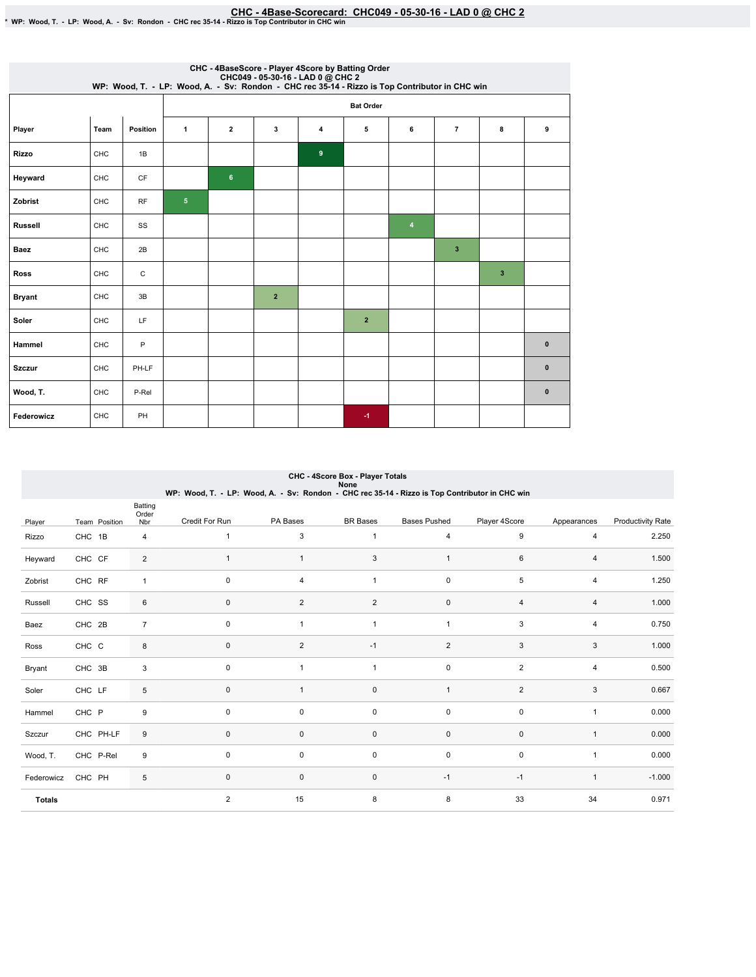## EHC - 4Base-Scorecard: CHC049 - 05-30-16 - LAD 0 @ CHC 2 مكان CHC - 4Base-Scorecard: CHC049 - 05-30-16 - LAD 0 يتباه 20 WP: Wood, T. - LP: Wood, A. - Sv: Rondon - CHC rec 35-14 - Rizzo is Top Contributor in CHC win

|                |            |           |                |                  |                |                | CHC - 4BaseScore - Player 4Score by Batting Order<br>CHC049 - 05-30-16 - LAD 0 @ CHC 2<br>WP: Wood, T. - LP: Wood, A. - Sv: Rondon - CHC rec 35-14 - Rizzo is Top Contributor in CHC win |                         |                |   |              |  |  |  |
|----------------|------------|-----------|----------------|------------------|----------------|----------------|------------------------------------------------------------------------------------------------------------------------------------------------------------------------------------------|-------------------------|----------------|---|--------------|--|--|--|
|                |            |           |                | <b>Bat Order</b> |                |                |                                                                                                                                                                                          |                         |                |   |              |  |  |  |
| Player         | Team       | Position  | 1              | $\overline{2}$   | 3              | 4              | 5                                                                                                                                                                                        | 6                       | $\overline{7}$ | 8 | 9            |  |  |  |
| <b>Rizzo</b>   | CHC        | 1B        |                |                  |                | $\overline{9}$ |                                                                                                                                                                                          |                         |                |   |              |  |  |  |
| Heyward        | CHC        | <b>CF</b> |                | 6                |                |                |                                                                                                                                                                                          |                         |                |   |              |  |  |  |
| Zobrist        | <b>CHC</b> | <b>RF</b> | 5 <sub>5</sub> |                  |                |                |                                                                                                                                                                                          |                         |                |   |              |  |  |  |
| <b>Russell</b> | CHC        | SS        |                |                  |                |                |                                                                                                                                                                                          | $\overline{\mathbf{4}}$ |                |   |              |  |  |  |
| Baez           | CHC        | 2B        |                |                  |                |                |                                                                                                                                                                                          |                         | 3              |   |              |  |  |  |
| <b>Ross</b>    | <b>CHC</b> | С         |                |                  |                |                |                                                                                                                                                                                          |                         |                | 3 |              |  |  |  |
| <b>Bryant</b>  | CHC        | 3B        |                |                  | $\overline{2}$ |                |                                                                                                                                                                                          |                         |                |   |              |  |  |  |
| Soler          | CHC        | LF        |                |                  |                |                | $\overline{2}$                                                                                                                                                                           |                         |                |   |              |  |  |  |
| Hammel         | CHC        | P         |                |                  |                |                |                                                                                                                                                                                          |                         |                |   | $\mathbf{0}$ |  |  |  |
| <b>Szczur</b>  | <b>CHC</b> | PH-LF     |                |                  |                |                |                                                                                                                                                                                          |                         |                |   | $\mathbf{0}$ |  |  |  |
| Wood, T.       | CHC        | P-Rel     |                |                  |                |                |                                                                                                                                                                                          |                         |                |   | $\pmb{0}$    |  |  |  |
| Federowicz     | CHC        | PH        |                |                  |                |                | $-1$                                                                                                                                                                                     |                         |                |   |              |  |  |  |

|               |               |                         | WP: Wood, T. - LP: Wood, A. - Sv: Rondon - CHC rec 35-14 - Rizzo is Top Contributor in CHC win |                | CHC - 4Score Box - Player Totals<br>None |                     |                |              |                          |
|---------------|---------------|-------------------------|------------------------------------------------------------------------------------------------|----------------|------------------------------------------|---------------------|----------------|--------------|--------------------------|
| Player        | Team Position | Batting<br>Order<br>Nbr | Credit For Run                                                                                 | PA Bases       | <b>BR</b> Bases                          | <b>Bases Pushed</b> | Player 4Score  | Appearances  | <b>Productivity Rate</b> |
| Rizzo         | CHC 1B        | 4                       | $\mathbf{1}$                                                                                   | 3              | $\mathbf{1}$                             | $\overline{4}$      | 9              | 4            | 2.250                    |
| Heyward       | CHC CF        | 2                       | $\mathbf{1}$                                                                                   | $\mathbf{1}$   | 3                                        | $\overline{1}$      | 6              | 4            | 1.500                    |
| Zobrist       | CHC RF        | $\mathbf{1}$            | $\mathbf 0$                                                                                    | 4              | $\mathbf{1}$                             | $\mathsf 0$         | 5              | 4            | 1.250                    |
| Russell       | CHC SS        | 6                       | $\pmb{0}$                                                                                      | $\overline{2}$ | $\overline{2}$                           | $\pmb{0}$           | $\overline{4}$ | 4            | 1.000                    |
| Baez          | CHC 2B        | $\overline{7}$          | $\mathbf 0$                                                                                    | $\mathbf{1}$   | $\mathbf{1}$                             | $\overline{1}$      | 3              | 4            | 0.750                    |
| Ross          | CHC C         | 8                       | $\mathbf 0$                                                                                    | $\overline{2}$ | $-1$                                     | $\overline{2}$      | 3              | 3            | 1.000                    |
| Bryant        | CHC 3B        | 3                       | $\mathbf 0$                                                                                    | $\mathbf{1}$   | $\mathbf{1}$                             | $\pmb{0}$           | $\overline{2}$ | 4            | 0.500                    |
| Soler         | CHC LF        | 5                       | $\pmb{0}$                                                                                      | $\mathbf{1}$   | $\mathbf 0$                              | $\mathbf{1}$        | $\overline{2}$ | 3            | 0.667                    |
| Hammel        | CHC P         | 9                       | $\mathbf 0$                                                                                    | 0              | 0                                        | $\mathsf 0$         | $\mathbf 0$    | $\mathbf{1}$ | 0.000                    |
| Szczur        | CHC PH-LF     | 9                       | $\mathbf 0$                                                                                    | 0              | $\mathbf 0$                              | $\mathbf 0$         | $\mathbf 0$    | $\mathbf{1}$ | 0.000                    |
| Wood, T.      | CHC P-Rel     | 9                       | $\mathbf 0$                                                                                    | 0              | $\pmb{0}$                                | $\mathsf 0$         | $\mathbf 0$    | 1            | 0.000                    |
| Federowicz    | CHC PH        | 5                       | $\pmb{0}$                                                                                      | $\mathbf 0$    | $\mathsf 0$                              | $-1$                | $-1$           | $\mathbf{1}$ | $-1.000$                 |
| <b>Totals</b> |               |                         | $\overline{2}$                                                                                 | 15             | 8                                        | 8                   | 33             | 34           | 0.971                    |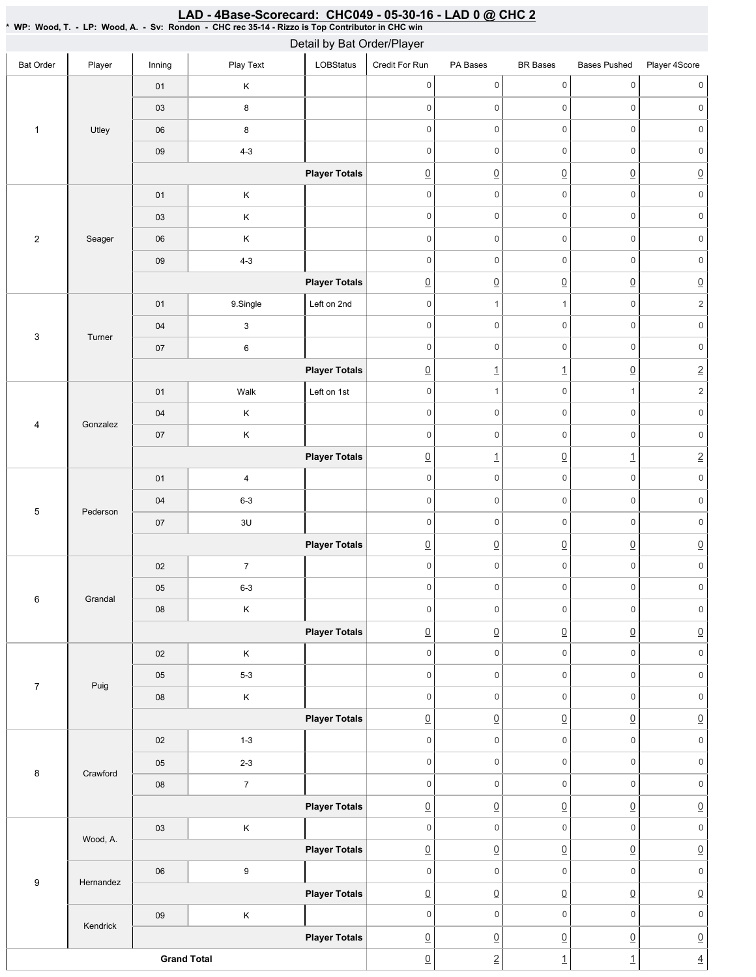|                         |           |                    |                           | Detail by Bat Order/Player |                     |                          |                          |                          |                     |
|-------------------------|-----------|--------------------|---------------------------|----------------------------|---------------------|--------------------------|--------------------------|--------------------------|---------------------|
| <b>Bat Order</b>        | Player    | Inning             | Play Text                 | LOBStatus                  | Credit For Run      | PA Bases                 | <b>BR</b> Bases          | <b>Bases Pushed</b>      | Player 4Score       |
|                         |           | 01                 | Κ                         |                            | $\mathbf 0$         | $\mathsf{O}\xspace$      | $\mathbf 0$              | $\mathsf{O}\xspace$      | $\mathbf 0$         |
|                         |           | 03                 | 8                         |                            | $\mathbf 0$         | $\mathbf 0$              | $\mathsf{O}\xspace$      | $\mathsf 0$              | 0                   |
| $\mathbf{1}$            | Utley     | $06\,$             | $\bf 8$                   |                            | $\mathbf 0$         | $\mathsf{O}\xspace$      | $\mathsf{O}\xspace$      | $\mathsf{O}\xspace$      | $\mathsf{O}\xspace$ |
|                         |           | $09\,$             | $4 - 3$                   |                            | $\mathbf 0$         | $\mathsf{O}\xspace$      | $\mathsf{O}\xspace$      | $\mathbf 0$              | $\mathsf{O}\xspace$ |
|                         |           |                    |                           | <b>Player Totals</b>       | $\underline{0}$     | $\underline{0}$          | $\overline{0}$           | $\underline{0}$          | $\underline{0}$     |
|                         |           | 01                 | $\mathsf K$               |                            | $\mathbf 0$         | $\mathsf{O}\xspace$      | $\mathsf{O}\xspace$      | $\mathbf 0$              | $\mathsf{O}\xspace$ |
|                         |           | 03                 | $\sf K$                   |                            | $\mathsf{O}\xspace$ | $\mathsf{O}\xspace$      | $\mathsf 0$              | $\mathsf{O}\xspace$      | $\mathsf{O}\xspace$ |
| $\sqrt{2}$              | Seager    | 06                 | $\sf K$                   |                            | $\mathbf 0$         | $\mathsf{O}\xspace$      | $\mathsf 0$              | $\mathsf{O}\xspace$      | $\mathsf{O}\xspace$ |
|                         |           | $09\,$             | $4 - 3$                   |                            | $\mathbf 0$         | $\mathsf{O}\xspace$      | $\mathsf{O}\xspace$      | $\mathbf 0$              | $\mathsf{O}\xspace$ |
|                         |           |                    |                           | <b>Player Totals</b>       | $\underline{0}$     | $\underline{0}$          | $\underline{0}$          | $\underline{0}$          | $\underline{0}$     |
|                         |           | 01                 | 9.Single                  | Left on 2nd                | $\mathbf 0$         | $\mathbf{1}$             | $\mathbf{1}$             | $\mathsf{O}\xspace$      | $\sqrt{2}$          |
| 3                       | Turner    | $04$               | $\ensuremath{\mathsf{3}}$ |                            | $\mathbf 0$         | $\mathsf{O}\xspace$      | $\mathsf{O}\xspace$      | $\mathsf{O}\xspace$      | $\mathsf{O}\xspace$ |
|                         |           | $07$               | 6                         |                            | $\mathbf 0$         | $\mathsf{O}\xspace$      | $\mathsf{O}\xspace$      | $\mathsf{O}\xspace$      | $\mathsf{O}\xspace$ |
|                         |           |                    |                           | <b>Player Totals</b>       | $\underline{0}$     | $\underline{\mathbf{1}}$ | $\overline{1}$           | $\underline{0}$          | $\underline{2}$     |
|                         |           | 01                 | Walk                      | Left on 1st                | $\mathbf 0$         | $\mathbf{1}$             | $\mathbf 0$              | $\mathbf{1}$             | $\overline{c}$      |
| $\overline{\mathbf{4}}$ | Gonzalez  | 04                 | $\sf K$                   |                            | $\mathbf 0$         | $\mathsf 0$              | $\mathsf{O}\xspace$      | $\mathbf 0$              | $\mathsf{O}\xspace$ |
|                         |           | $07\,$             | $\sf K$                   |                            | $\mathbf 0$         | $\mathsf 0$              | $\mathsf{O}\xspace$      | $\mathsf{O}\xspace$      | $\mathsf 0$         |
|                         |           |                    |                           | <b>Player Totals</b>       | $\underline{0}$     | $\overline{1}$           | $\underline{0}$          | $\underline{\mathbf{1}}$ | $\underline{2}$     |
|                         |           | 01                 | 4                         |                            | $\mathbf 0$         | $\mathsf 0$              | $\mathbf 0$              | $\mathbf 0$              | $\mathbf 0$         |
| $\sqrt{5}$              | Pederson  | 04                 | $6 - 3$                   |                            | $\mathbf 0$         | $\mathsf 0$              | $\mathsf{O}\xspace$      | $\mathsf{O}\xspace$      | $\mathbf 0$         |
|                         |           | $07\,$             | 3U                        |                            | $\mathbf 0$         | $\mathsf{O}\xspace$      | $\mathsf{O}\xspace$      | $\mathbf 0$              | $\mathsf{O}\xspace$ |
|                         |           |                    |                           | <b>Player Totals</b>       | $\underline{0}$     | $\underline{0}$          | $\overline{0}$           | $\underline{0}$          | $\underline{0}$     |
|                         |           | 02                 | $\boldsymbol{7}$          |                            | $\mathsf 0$         | $\mathsf{O}\xspace$      | $\mathsf{O}\xspace$      | $\mathsf{O}\xspace$      | $\mathsf{O}\xspace$ |
| $\,6\,$                 | Grandal   | $05\,$             | $6 - 3$                   |                            | $\mathbf 0$         | $\mathsf{O}\xspace$      | $\mathsf 0$              | $\mathsf{O}$             | $\mathsf{O}\xspace$ |
|                         |           | ${\bf 08}$         | $\sf K$                   |                            | $\mathbb O$         | $\mathsf{O}\xspace$      | $\mathsf{O}\xspace$      | $\mathsf{O}\xspace$      | $\mathsf{O}\xspace$ |
|                         |           |                    |                           | <b>Player Totals</b>       | $\underline{0}$     | $\underline{0}$          | $\underline{0}$          | $\underline{0}$          | $\underline{0}$     |
|                         |           | 02                 | $\sf K$                   |                            | $\mathbf 0$         | $\mathsf{O}\xspace$      | $\mathsf 0$              | $\mathsf{O}\xspace$      | $\mathsf{O}\xspace$ |
| $\overline{7}$          | Puig      | 05                 | $5-3$                     |                            | $\mathsf{O}\xspace$ | $\mathsf{O}\xspace$      | $\mathsf 0$              | $\mathsf{O}\xspace$      | $\mathsf{O}\xspace$ |
|                         |           | 08                 | $\mathsf K$               |                            | $\mathbf 0$         | $\mathsf{O}\xspace$      | $\mathsf{O}\xspace$      | $\mathsf{O}\xspace$      | $\mathsf{0}$        |
|                         |           |                    |                           | <b>Player Totals</b>       | $\underline{0}$     | $\underline{0}$          | $\underline{0}$          | $\underline{0}$          | $\underline{0}$     |
|                         |           | 02                 | $1 - 3$                   |                            | $\mathbf 0$         | $\mathsf{O}\xspace$      | $\mathsf 0$              | $\mathsf{O}\xspace$      | $\mathsf{O}\xspace$ |
| 8                       | Crawford  | 05                 | $2 - 3$                   |                            | $\mathbf 0$         | $\mathsf{O}\xspace$      | $\mathsf 0$              | $\mathsf{O}\xspace$      | $\mathsf{O}\xspace$ |
|                         |           | ${\bf 08}$         | $\boldsymbol{7}$          |                            | $\mathbf 0$         | $\mathsf{O}\xspace$      | $\mathsf 0$              | $\mathsf{O}\xspace$      | $\mathsf{O}\xspace$ |
|                         |           |                    |                           | <b>Player Totals</b>       | $\underline{0}$     | $\underline{0}$          | $\underline{0}$          | $\underline{0}$          | $\underline{0}$     |
|                         | Wood, A.  | 03                 | $\sf K$                   |                            | $\mathbf 0$         | $\mathsf{O}\xspace$      | $\mathsf 0$              | $\mathsf{O}\xspace$      | $\mathsf{O}\xspace$ |
|                         |           |                    |                           | <b>Player Totals</b>       | $\underline{0}$     | $\underline{0}$          | $\overline{0}$           | $\underline{0}$          | $\underline{0}$     |
| $\boldsymbol{9}$        | Hernandez | $06\,$             | 9                         |                            | $\mathbf 0$         | $\mathsf{O}\xspace$      | $\mathsf{O}\xspace$      | $\mathbf 0$              | $\mathsf{O}\xspace$ |
|                         |           |                    |                           | <b>Player Totals</b>       | $\underline{0}$     | $\underline{0}$          | $\overline{0}$           | $\underline{0}$          | $\underline{0}$     |
|                         | Kendrick  | $09\,$             | $\mathsf K$               |                            | $\mathbf 0$         | $\mathsf{O}\xspace$      | $\mathsf{O}\xspace$      | $\mathsf{O}\xspace$      | $\mathsf{O}\xspace$ |
|                         |           |                    |                           | <b>Player Totals</b>       | $\underline{0}$     | $\underline{0}$          | $\underline{0}$          | $\underline{0}$          | $\underline{0}$     |
|                         |           | <b>Grand Total</b> |                           | $\underline{0}$            | $\overline{2}$      | $\overline{1}$           | $\underline{\mathbf{1}}$ | $\underline{4}$          |                     |

<u>LAD - 4Base-Scorecard: CHC049 - 05-30-16 - LAD 0 @ CHC 2</u>